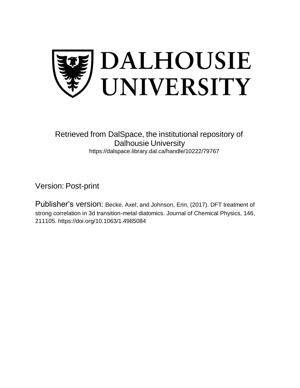

## Retrieved from DalSpace, the institutional repository of Dalhousie University https://dalspace.library.dal.ca/handle/10222/79767

Version: Post-print

Publisher's version: Becke, Axel; and Johnson, Erin, (2017). DFT treatment of strong correlation in 3d transition-metal diatomics. Journal of Chemical Physics, 146, 211105. https://doi.org/10.1063/1.4985084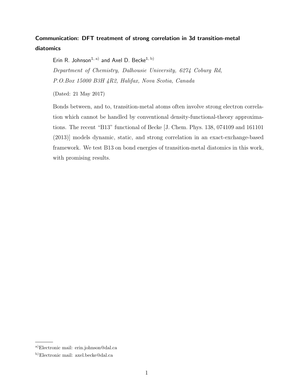## Communication: DFT treatment of strong correlation in 3d transition-metal diatomics

Erin R. Johnson<sup>1, a)</sup> and Axel D. Becke<sup>1, b)</sup> Department of Chemistry, Dalhousie University, 6274 Coburg Rd, P.O.Box 15000 B3H 4R2, Halifax, Nova Scotia, Canada

(Dated: 21 May 2017)

Bonds between, and to, transition-metal atoms often involve strong electron correlation which cannot be handled by conventional density-functional-theory approximations. The recent "B13" functional of Becke [J. Chem. Phys. 138, 074109 and 161101 (2013)] models dynamic, static, and strong correlation in an exact-exchange-based framework. We test B13 on bond energies of transition-metal diatomics in this work, with promising results.

a)Electronic mail: erin.johnson@dal.ca

b)Electronic mail: axel.becke@dal.ca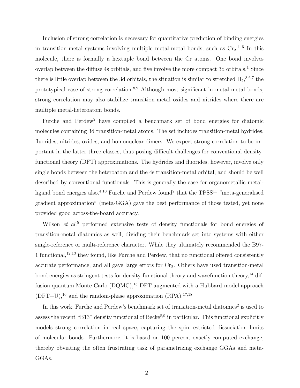Inclusion of strong correlation is necessary for quantitative prediction of binding energies in transition-metal systems involving multiple metal-metal bonds, such as  $Cr_2$ <sup>1-5</sup> In this molecule, there is formally a hextuple bond between the Cr atoms. One bond involves overlap between the diffuse 4s orbitals, and five involve the more compact 3d orbitals.<sup>1</sup> Since there is little overlap between the 3d orbitals, the situation is similar to stretched  $H_2$ <sup>3,6,7</sup> the prototypical case of strong correlation.<sup>8,9</sup> Although most significant in metal-metal bonds, strong correlation may also stabilize transition-metal oxides and nitrides where there are multiple metal-heteroatom bonds.

Furche and Perdew<sup>2</sup> have compiled a benchmark set of bond energies for diatomic molecules containing 3d transition-metal atoms. The set includes transition-metal hydrides, fluorides, nitrides, oxides, and homonuclear dimers. We expect strong correlation to be important in the latter three classes, thus posing difficult challenges for conventional densityfunctional theory (DFT) approximations. The hydrides and fluorides, however, involve only single bonds between the heteroatom and the 4s transition-metal orbital, and should be well described by conventional functionals. This is generally the case for organometallic metalligand bond energies also.<sup>4,10</sup> Furche and Perdew found<sup>2</sup> that the TPSS<sup>11</sup> "meta-generalised gradient approximation" (meta-GGA) gave the best performance of those tested, yet none provided good across-the-board accuracy.

Wilson  $et\ al.<sup>5</sup>$  performed extensive tests of density functionals for bond energies of transition-metal diatomics as well, dividing their benchmark set into systems with either single-reference or multi-reference character. While they ultimately recommended the B97- 1 functional,12,13 they found, like Furche and Perdew, that no functional offered consistently accurate performance, and all gave large errors for  $Cr<sub>2</sub>$ . Others have used transition-metal bond energies as stringent tests for density-functional theory and wavefunction theory,  $^{14}$  diffusion quantum Monte-Carlo  $(DQMC)$ ,<sup>15</sup> DFT augmented with a Hubbard-model approach  $(DFT+U),^{16}$  and the random-phase approximation  $(RPA).^{17,18}$ 

In this work, Furche and Perdew's benchmark set of transition-metal diatomics<sup>2</sup> is used to assess the recent "B13" density functional of Becke<sup>8,9</sup> in particular. This functional explicitly models strong correlation in real space, capturing the spin-restricted dissociation limits of molecular bonds. Furthermore, it is based on 100 percent exactly-computed exchange, thereby obviating the often frustrating task of parametrizing exchange GGAs and meta-GGAs.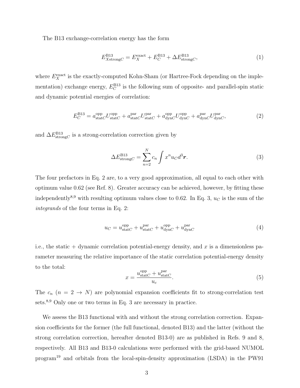The B13 exchange-correlation energy has the form

$$
E_{X\text{strong}C}^{\text{B13}} = E_X^{\text{exact}} + E_C^{\text{B13}} + \Delta E_{\text{strong}C}^{\text{B13}},\tag{1}
$$

where  $E_X^{\text{exact}}$  is the exactly-computed Kohn-Sham (or Hartree-Fock depending on the implementation) exchange energy,  $E_C^{B13}$  is the following sum of opposite- and parallel-spin static and dynamic potential energies of correlation:

$$
E_C^{\text{B13}} = a_{\text{stat}}^{\text{opp}} U_{\text{stat}}^{\text{opp}} + a_{\text{stat}}^{\text{par}} U_{\text{stat}}^{\text{par}} + a_{\text{dyn}}^{\text{opp}} U_{\text{dyn}}^{\text{opp}} + a_{\text{dyn}}^{\text{par}} U_{\text{dyn}}^{\text{par}} \tag{2}
$$

and  $\Delta E_{\text{strong}C}^{\text{B13}}$  is a strong-correlation correction given by

$$
\Delta E_{\text{strong}C}^{\text{B13}} = \sum_{n=2}^{N} c_n \int x^n u_C d^3 \boldsymbol{r}.\tag{3}
$$

The four prefactors in Eq. 2 are, to a very good approximation, all equal to each other with optimum value 0.62 (see Ref. 8). Greater accuracy can be achieved, however, by fitting these independently<sup>8,9</sup> with resulting optimum values close to 0.62. In Eq. 3,  $u<sub>C</sub>$  is the sum of the integrands of the four terms in Eq. 2:

$$
u_C = u_{\text{stat}C}^{\text{opp}} + u_{\text{stat}C}^{\text{par}} + u_{\text{dyn}C}^{\text{opp}} + u_{\text{dyn}C}^{\text{par}} \tag{4}
$$

i.e., the static  $+$  dynamic correlation potential-energy density, and x is a dimensionless parameter measuring the relative importance of the static correlation potential-energy density to the total:

$$
x = \frac{u_{\text{stat}}^{\text{opp}} - u_{\text{stat}}^{\text{par}}}{u_c}.
$$
\n
$$
(5)
$$

The  $c_n$   $(n = 2 \rightarrow N)$  are polynomial expansion coefficients fit to strong-correlation test sets.<sup>8,9</sup> Only one or two terms in Eq. 3 are necessary in practice.

We assess the B13 functional with and without the strong correlation correction. Expansion coefficients for the former (the full functional, denoted B13) and the latter (without the strong correlation correction, hereafter denoted B13-0) are as published in Refs. 9 and 8, respectively. All B13 and B13-0 calculations were performed with the grid-based NUMOL program<sup>19</sup> and orbitals from the local-spin-density approximation (LSDA) in the PW91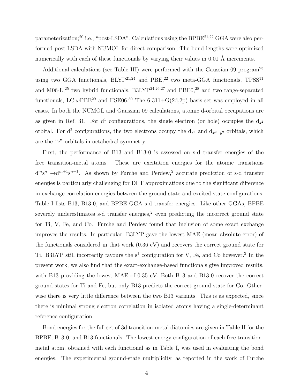parameterization;<sup>20</sup> i.e., "post-LSDA". Calculations using the BPBE<sup>21,22</sup> GGA were also performed post-LSDA with NUMOL for direct comparison. The bond lengths were optimized numerically with each of these functionals by varying their values in 0.01 Å increments.

Additional calculations (see Table III) were performed with the Gaussian 09 program<sup>23</sup> using two GGA functionals,  $BLYP^{21,24}$  and  $PBE,^{22}$  two meta-GGA functionals,  $TPSS^{11}$ and M06-L, $^{25}$  two hybrid functionals, B3LYP<sup>24,26,27</sup> and PBE0,<sup>28</sup> and two range-separated functionals, LC- $\omega$ PBE<sup>29</sup> and HSE06.<sup>30</sup> The 6-311+G(2d,2p) basis set was employed in all cases. In both the NUMOL and Gaussian 09 calculations, atomic d-orbital occupations are as given in Ref. 31. For  $d^1$  configurations, the single electron (or hole) occupies the  $d_{z^2}$ orbital. For d<sup>2</sup> configurations, the two electrons occupy the  $d_{z^2}$  and  $d_{x^2-y^2}$  orbitals, which are the "e" orbitals in octahedral symmetry.

First, the performance of B13 and B13-0 is assessed on s-d transfer energies of the free transition-metal atoms. These are excitation energies for the atomic transitions  $d^m s^n \rightarrow d^{m+1} s^{n-1}$ . As shown by Furche and Perdew,<sup>2</sup> accurate prediction of s-d transfer energies is particularly challenging for DFT approximations due to the significant difference in exchange-correlation energies between the ground-state and excited-state configurations. Table I lists B13, B13-0, and BPBE GGA s-d transfer energies. Like other GGAs, BPBE severely underestimates s-d transfer energies,<sup>2</sup> even predicting the incorrect ground state for Ti, V, Fe, and Co. Furche and Perdew found that inclusion of some exact exchange improves the results. In particular, B3LYP gave the lowest MAE (mean absolute error) of the functionals considered in that work (0.36 eV) and recovers the correct ground state for Ti. B3LYP still incorrectly favours the  $s<sup>1</sup>$  configuration for V, Fe, and Co however.<sup>2</sup> In the present work, we also find that the exact-exchange-based functionals give improved results, with B13 providing the lowest MAE of 0.35 eV. Both B13 and B13-0 recover the correct ground states for Ti and Fe, but only B13 predicts the correct ground state for Co. Otherwise there is very little difference between the two B13 variants. This is as expected, since there is minimal strong electron correlation in isolated atoms having a single-determinant reference configuration.

Bond energies for the full set of 3d transition-metal diatomics are given in Table II for the BPBE, B13-0, and B13 functionals. The lowest-energy configuration of each free transitionmetal atom, obtained with each functional as in Table I, was used in evaluating the bond energies. The experimental ground-state multiplicity, as reported in the work of Furche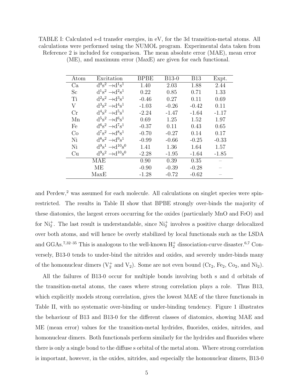TABLE I: Calculated s-d transfer energies, in eV, for the 3d transition-metal atoms. All calculations were performed using the NUMOL program. Experimental data taken from Reference 2 is included for comparison. The mean absolute error (MAE), mean error

| Atom | Excitation                          | <b>BPBE</b> | $B13-0$ | <b>B13</b> | Expt.   |
|------|-------------------------------------|-------------|---------|------------|---------|
| Ca   | $d^0s^2 \rightarrow d^1s^1$         | 1.40        | 2.03    | 1.88       | 2.44    |
| Sc   | $d^1s^2 \rightarrow d^2s^1$         | 0.22        | 0.85    | 0.71       | 1.33    |
| Ti   | $d^2s^2 \rightarrow d^3s^1$         | $-0.46$     | 0.27    | 0.11       | 0.69    |
| V    | $d^3s^2 \rightarrow d^4s^1$         | $-1.03$     | $-0.26$ | $-0.42$    | 0.11    |
| Cr   | $d^4s^2 \rightarrow d^5s^1$         | $-2.24$     | $-1.47$ | $-1.64$    | $-1.17$ |
| Mn   | $d^5s^2 \rightarrow d^6s^1$         | 0.69        | 1.25    | 1.52       | 1.97    |
| Fe   | $d^{6}s^{2} \rightarrow d^{7}s^{1}$ | $-0.37$     | 0.11    | 0.43       | 0.65    |
| Co   | $d^7s^2 \rightarrow d^8s^1$         | $-0.70$     | $-0.27$ | 0.14       | 0.17    |
| Ni   | $d^8s^2 \rightarrow d^9s^1$         | $-0.99$     | $-0.66$ | $-0.25$    | $-0.33$ |
| Ni   | $d^9s^1 \rightarrow d^{10}s^0$      | 1.41        | 1.36    | 1.64       | 1.57    |
| Cu   | $d^9s^2 \rightarrow d^{10}s^0$      | $-2.28$     | $-1.95$ | $-1.64$    | $-1.85$ |
|      | MAE                                 | 0.90        | 0.39    | 0.35       |         |
|      | MЕ                                  | $-0.90$     | $-0.39$ | $-0.28$    |         |
|      | MaxE                                | $-1.28$     | $-0.72$ | $-0.62$    |         |

(ME), and maximum error (MaxE) are given for each functional.

and Perdew,<sup>2</sup> was assumed for each molecule. All calculations on singlet species were spinrestricted. The results in Table II show that BPBE strongly over-binds the majority of these diatomics, the largest errors occurring for the oxides (particularly MnO and FeO) and for  $Ni<sub>2</sub><sup>+</sup>$ . The last result is understandable, since  $Ni<sub>2</sub><sup>+</sup>$  involves a positive charge delocalized over both atoms, and will hence be overly stabilized by local functionals such as the LSDA and GGAs.<sup>7,32–35</sup> This is analogous to the well-known  $H_2^+$  dissociation-curve disaster.<sup>6,7</sup> Conversely, B13-0 tends to under-bind the nitrides and oxides, and severely under-binds many of the homonuclear dimers  $(V_2^+$  and  $V_2)$ . Some are not even bound  $(Cr_2, Fe_2, Co_2, and Ni_2)$ .

All the failures of B13-0 occur for multiple bonds involving both s and d orbitals of the transition-metal atoms, the cases where strong correlation plays a role. Thus B13, which explicitly models strong correlation, gives the lowest MAE of the three functionals in Table II, with no systematic over-binding or under-binding tendency. Figure 1 illustrates the behaviour of B13 and B13-0 for the different classes of diatomics, showing MAE and ME (mean error) values for the transition-metal hydrides, fluorides, oxides, nitrides, and homonuclear dimers. Both functionals perform similarly for the hydrides and fluorides where there is only a single bond to the diffuse s orbital of the metal atom. Where strong correlation is important, however, in the oxides, nitrides, and especially the homonuclear dimers, B13-0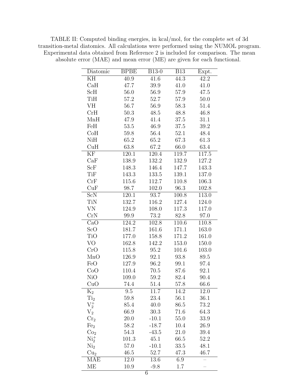TABLE II: Computed binding energies, in kcal/mol, for the complete set of 3d transition-metal diatomics. All calculations were performed using the NUMOL program. Experimental data obtained from Reference 2 is included for comparison. The mean absolute error (MAE) and mean error (ME) are given for each functional.

| Diatomic              | <b>BPBE</b>      | <b>B13-0</b> | B13                | Expt.             |
|-----------------------|------------------|--------------|--------------------|-------------------|
| KH                    | 40.9             | 41.6         | 44.3               | 42.2              |
| CaH                   | 47.7             | 39.9         | 41.0               | 41.0              |
| $\operatorname{ScH}$  | 56.0             | 56.9         | 57.9               | 47.5              |
| TiH                   | 57.2             | 52.7         | 57.9               | 50.0              |
| VH                    | 56.7             | 56.9         | 58.3               | 51.4              |
| CrH                   | 50.3             | 48.5         | 48.8               | 46.8              |
| MnH                   | 47.9             | 41.4         | 37.5               | 31.1              |
| FeH                   | 53.5             | 46.9         | $37.5\,$           | 39.2              |
| CoH                   | 59.8             | 56.4         | 52.1               | 48.4              |
| NiH                   | 65.2             | 65.2         | 67.3               | 61.3              |
| CuH                   | 63.8             | 67.2         | 66.0               | 63.4              |
| ΚF                    | 120.1            | 120.4        | 119.7              | 117.5             |
| CaF                   | 138.9            | 132.2        | 132.9              | 127.2             |
| ScF                   | 148.3            | 146.4        | 147.7              | 143.3             |
| TiF                   | 143.3            | 133.5        | 139.1              | 137.0             |
| CrF                   | 115.6            | 112.7        | 110.8              | 106.3             |
| CuF                   | 98.7             | 102.0        | 96.3               | 102.8             |
| ScN                   | 120.1            | 93.7         | $\overline{100.8}$ | 113.0             |
| TiN                   | 132.7            | 116.2        | 127.4              | 124.0             |
| VN                    | 124.9            | 108.0        | 117.3              | 117.0             |
| CrN                   | 99.9             | 73.2         | 82.8               | 97.0              |
| CaO                   | 124.2            | 102.8        | 110.6              | 110.8             |
| ScO                   | 181.7            | 161.6        | 171.1              | 163.0             |
| TiO                   | 177.0            | 158.8        | 171.2              | 161.0             |
| VO                    | 162.8            | 142.2        | 153.0              | 150.0             |
| CrO                   | 115.8            | 95.2         | 101.6              | 103.0             |
| MnO                   | 126.9            | 92.1         | $93.8\,$           | 89.5              |
| FeO                   | 127.9            | 96.2         | 99.1               | 97.4              |
| CoO                   | 110.4            | 70.5         | 87.6               | 92.1              |
| NiO                   | 109.0            | 59.2         | 82.4               | 90.4              |
| CuO                   | 74.4             | 51.4         | 57.8               | 66.6              |
| $\mathrm{K}_2$        | $\overline{9.5}$ | 11.7         | $\overline{14.2}$  | $\overline{12.0}$ |
| $\rm{Ti}_2$           | 59.8             | 23.4         | 56.1               | 36.1              |
| ${\rm V}_2^+$         | 85.4             | 40.0         | 86.5               | 73.2              |
| $\rm V_2$             | 66.9             | 30.3         | 71.6               | 64.3              |
| $\operatorname{Cr}_2$ | 20.0             | $-10.1$      | 55.0               | 33.9              |
| Fe <sub>2</sub>       | 58.2             | $-18.7$      | 10.4               | 26.9              |
| Co <sub>2</sub>       | 54.3             | $-43.5$      | 21.0               | 39.4              |
| $\mathrm{Ni}_2^+$     | 101.3            | 45.1         | 66.5               | 52.2              |
| Ni <sub>2</sub>       | 57.0             | $-10.1$      | 33.5               | 48.1              |
| Cu <sub>2</sub>       | 46.5             | 52.7         | 47.3               | 46.7              |
| MAE                   | 12.0             | 13.6         | 6.9                |                   |
| МE                    | 10.9             | $-9.8$       | 1.7                |                   |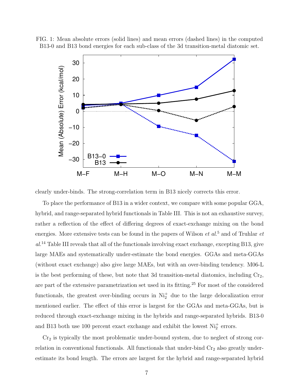



clearly under-binds. The strong-correlation term in B13 nicely corrects this error.

To place the performance of B13 in a wider context, we compare with some popular GGA, hybrid, and range-separated hybrid functionals in Table III. This is not an exhaustive survey, rather a reflection of the effect of differing degrees of exact-exchange mixing on the bond energies. More extensive tests can be found in the papers of Wilson  $et al.<sup>5</sup>$  and of Truhlar  $et$  $al<sup>14</sup>$  Table III reveals that all of the functionals involving exact exchange, excepting B13, give large MAEs and systematically under-estimate the bond energies. GGAs and meta-GGAs (without exact exchange) also give large MAEs, but with an over-binding tendency. M06-L is the best performing of these, but note that 3d transition-metal diatomics, including  $Cr_2$ , are part of the extensive parametrization set used in its fitting.<sup>25</sup> For most of the considered functionals, the greatest over-binding occurs in  $Ni<sub>2</sub><sup>+</sup>$  due to the large delocalization error mentioned earlier. The effect of this error is largest for the GGAs and meta-GGAs, but is reduced through exact-exchange mixing in the hybrids and range-separated hybrids. B13-0 and B13 both use 100 percent exact exchange and exhibit the lowest  $Ni<sub>2</sub><sup>+</sup>$  errors.

 $Cr<sub>2</sub>$  is typically the most problematic under-bound system, due to neglect of strong correlation in conventional functionals. All functionals that under-bind  $Cr<sub>2</sub>$  also greatly underestimate its bond length. The errors are largest for the hybrid and range-separated hybrid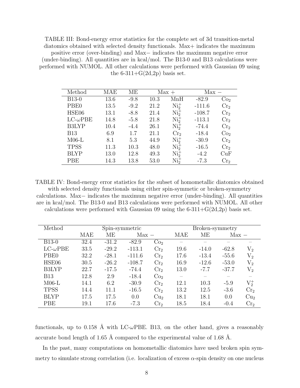TABLE III: Bond-energy error statistics for the complete set of 3d transition-metal diatomics obtained with selected density functionals. Max+ indicates the maximum positive error (over-binding) and Max− indicates the maximum negative error (under-binding). All quantities are in kcal/mol. The B13-0 and B13 calculations were performed with NUMOL. All other calculations were performed with Gaussian 09 using the 6-311+ $G(2d,2p)$  basis set.

| Method              | <b>MAE</b> | MЕ     |      | $Max +$         | $Max -$  |                 |
|---------------------|------------|--------|------|-----------------|----------|-----------------|
| <b>B13-0</b>        | 13.6       | $-9.8$ | 10.3 | MnH             | $-82.9$  | Co <sub>2</sub> |
| PBE <sub>0</sub>    | 13.5       | $-9.2$ | 21.2 | $Ni2+$          | $-111.6$ | Cr <sub>2</sub> |
| HSE06               | 13.1       | $-8.8$ | 21.4 | $Ni2+$          | $-108.7$ | Cr <sub>2</sub> |
| $LC$ - $\omega$ PBE | 14.8       | $-5.8$ | 21.8 | $Ni2+$          | $-113.1$ | Cr <sub>2</sub> |
| <b>B3LYP</b>        | 10.4       | $-4.4$ | 26.1 | $Ni2+$          | $-74.4$  | Cr <sub>2</sub> |
| <b>B13</b>          | 6.9        | 1.7    | 21.1 | Cr <sub>2</sub> | $-18.4$  | Co <sub>2</sub> |
| $M06-L$             | 8.1        | 5.3    | 44.9 | $Ni2+$          | $-30.9$  | Cr <sub>2</sub> |
| <b>TPSS</b>         | 11.3       | 10.3   | 48.0 | $Ni2+$          | $-16.5$  | Cr <sub>2</sub> |
| <b>BLYP</b>         | 13.0       | 12.8   | 49.3 | $Ni2+$          | $-4.2$   | CuF             |
| PBE                 | 14.3       | 13.8   | 53.0 | $Ni2+$          | $-7.3$   | Cr <sub>2</sub> |

TABLE IV: Bond-energy error statistics for the subset of homometallic diatomics obtained with selected density functionals using either spin-symmetic or broken-symmetry calculations. Max− indicates the maximum negative error (under-binding). All quantities are in kcal/mol. The B13-0 and B13 calculations were performed with NUMOL. All other calculations were performed with Gaussian 09 using the  $6-311+G(2d,2p)$  basis set.

| Method              | Spin-symmetric |         |          |                 | Broken-symmetry |         |         |                 |
|---------------------|----------------|---------|----------|-----------------|-----------------|---------|---------|-----------------|
|                     | MAE            | ME      | $Max -$  |                 | MAE             | MЕ      | $Max -$ |                 |
| $B13-0$             | 32.4           | $-31.2$ | $-82.9$  | Co <sub>2</sub> |                 |         |         |                 |
| $LC$ - $\omega$ PBE | 33.5           | $-29.2$ | $-113.1$ | Cr <sub>2</sub> | 19.6            | $-14.0$ | $-62.8$ | ${\rm V}_2$     |
| PBE <sub>0</sub>    | 32.2           | $-28.1$ | $-111.6$ | Cr <sub>2</sub> | 17.6            | $-13.4$ | $-55.6$ | $V_{2}$         |
| HSE06               | 30.5           | $-26.2$ | $-108.7$ | Cr <sub>2</sub> | 16.9            | $-12.6$ | $-53.0$ | $V_{2}$         |
| <b>B3LYP</b>        | 22.7           | $-17.5$ | $-74.4$  | Cr <sub>2</sub> | 13.0            | $-7.7$  | $-37.7$ | ${\rm V}_2$     |
| <b>B13</b>          | 12.8           | 2.9     | $-18.4$  | Co <sub>2</sub> |                 |         |         |                 |
| $M06-L$             | 14.1           | 6.2     | $-30.9$  | Cr <sub>2</sub> | 12.1            | 10.3    | $-5.9$  | $V_2^+$         |
| <b>TPSS</b>         | 14.4           | 11.1    | $-16.5$  | Cr <sub>2</sub> | 13.2            | 12.5    | $-3.6$  | Cr <sub>2</sub> |
| <b>BLYP</b>         | 17.5           | 17.5    | 0.0      | Cu <sub>2</sub> | 18.1            | 18.1    | 0.0     | Cu <sub>2</sub> |
| PBE                 | 19.1           | 17.6    | $-7.3$   | Cr <sub>2</sub> | 18.5            | 18.4    | $-0.4$  | Cr <sub>2</sub> |

functionals, up to 0.158 Å with LC- $\omega$ PBE. B13, on the other hand, gives a reasonably accurate bond length of 1.65 Å compared to the experimental value of 1.68 Å.

In the past, many computations on homometallic diatomics have used broken spin symmetry to simulate strong correlation (i.e. localization of excess  $\alpha$ -spin density on one nucleus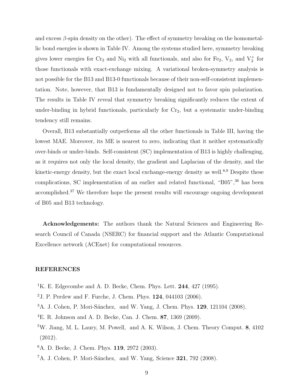and excess  $\beta$ -spin density on the other). The effect of symmetry breaking on the homometallic bond energies is shown in Table IV. Among the systems studied here, symmetry breaking gives lower energies for  $Cr_2$  and  $Ni_2$  with all functionals, and also for Fe<sub>2</sub>,  $V_2$ , and  $V_2^+$  for those functionals with exact-exchange mixing. A variational broken-symmetry analysis is not possible for the B13 and B13-0 functionals because of their non-self-consistent implementation. Note, however, that B13 is fundamentally designed not to favor spin polarization. The results in Table IV reveal that symmetry breaking significantly reduces the extent of under-binding in hybrid functionals, particularly for  $Cr<sub>2</sub>$ , but a systematic under-binding tendency still remains.

Overall, B13 substantially outperforms all the other functionals in Table III, having the lowest MAE. Moreover, its ME is nearest to zero, indicating that it neither systematically over-binds or under-binds. Self-consistent (SC) implementation of B13 is highly challenging, as it requires not only the local density, the gradient and Laplacian of the density, and the kinetic-energy density, but the exact local exchange-energy density as well.<sup>8,9</sup> Despite these complications, SC implementation of an earlier and related functional, "B05",<sup>36</sup> has been accomplished.<sup>37</sup> We therefore hope the present results will encourage ongoing development of B05 and B13 technology.

Acknowledgements: The authors thank the Natural Sciences and Engineering Research Council of Canada (NSERC) for financial support and the Atlantic Computational Excellence network (ACEnet) for computational resources.

## REFERENCES

- <sup>1</sup>K. E. Edgecombe and A. D. Becke, Chem. Phys. Lett.  $244$ ,  $427$  (1995).
- <sup>2</sup>J. P. Perdew and F. Furche, J. Chem. Phys. 124, 044103 (2006).
- <sup>3</sup>A. J. Cohen, P. Mori-Sánchez, and W. Yang, J. Chem. Phys. **129**, 121104 (2008).
- ${}^{4}E$ . R. Johnson and A. D. Becke, Can. J. Chem. 87, 1369 (2009).
- <sup>5</sup>W. Jiang, M. L. Laury, M. Powell, and A. K. Wilson, J. Chem. Theory Comput. 8, 4102 (2012).
- <sup>6</sup>A. D. Becke, J. Chem. Phys. 119, 2972 (2003).
- ${}^{7}$ A. J. Cohen, P. Mori-Sánchez, and W. Yang, Science  $321, 792$  (2008).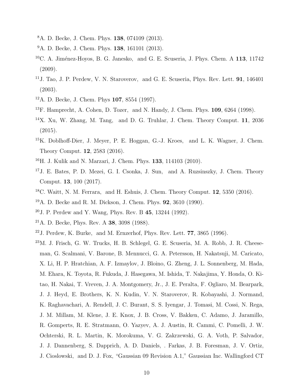- <sup>8</sup>A. D. Becke, J. Chem. Phys. 138, 074109 (2013).
- <sup>9</sup>A. D. Becke, J. Chem. Phys. **138**, 161101 (2013).
- $10C.$  A. Jiménez-Hoyos, B. G. Janesko, and G. E. Scuseria, J. Phys. Chem. A 113, 11742 (2009).
- <sup>11</sup>J. Tao, J. P. Perdew, V. N. Staroverov, and G. E. Scuseria, Phys. Rev. Lett. **91**,  $146401$ (2003).
- <sup>12</sup>A. D. Becke, J. Chem. Phys 107, 8554 (1997).
- <sup>13</sup>F. Hamprecht, A. Cohen, D. Tozer, and N. Handy, J. Chem. Phys. 109, 6264 (1998).
- <sup>14</sup>X. Xu, W. Zhang, M. Tang, and D. G. Truhlar, J. Chem. Theory Comput. 11, 2036 (2015).
- <sup>15</sup>K. Doblhoff-Dier, J. Meyer, P. E. Hoggan, G.-J. Kroes, and L. K. Wagner, J. Chem. Theory Comput. 12, 2583 (2016).
- <sup>16</sup>H. J. Kulik and N. Marzari, J. Chem. Phys. 133, 114103 (2010).
- <sup>17</sup>J. E. Bates, P. D. Mezei, G. I. Csonka, J. Sun, and A. Ruzsinszky, J. Chem. Theory Comput. 13, 100 (2017).
- <sup>18</sup>C. Waitt, N. M. Ferrara, and H. Eshuis, J. Chem. Theory Comput. 12, 5350 (2016).
- <sup>19</sup>A. D. Becke and R. M. Dickson, J. Chem. Phys. 92, 3610 (1990).
- $2^{0}$  J. P. Perdew and Y. Wang, Phys. Rev. B 45, 13244 (1992).
- <sup>21</sup>A. D. Becke, Phys. Rev. A 38, 3098 (1988).
- $^{22}$ J. Perdew, K. Burke, and M. Ernzerhof, Phys. Rev. Lett. 77, 3865 (1996).
- <sup>23</sup>M. J. Frisch, G. W. Trucks, H. B. Schlegel, G. E. Scuseria, M. A. Robb, J. R. Cheeseman, G. Scalmani, V. Barone, B. Mennucci, G. A. Petersson, H. Nakatsuji, M. Caricato, X. Li, H. P. Hratchian, A. F. Izmaylov, J. Bloino, G. Zheng, J. L. Sonnenberg, M. Hada, M. Ehara, K. Toyota, R. Fukuda, J. Hasegawa, M. Ishida, T. Nakajima, Y. Honda, O. Kitao, H. Nakai, T. Vreven, J. A. Montgomery, Jr., J. E. Peralta, F. Ogliaro, M. Bearpark, J. J. Heyd, E. Brothers, K. N. Kudin, V. N. Staroverov, R. Kobayashi, J. Normand, K. Raghavachari, A. Rendell, J. C. Burant, S. S. Iyengar, J. Tomasi, M. Cossi, N. Rega, J. M. Millam, M. Klene, J. E. Knox, J. B. Cross, V. Bakken, C. Adamo, J. Jaramillo, R. Gomperts, R. E. Stratmann, O. Yazyev, A. J. Austin, R. Cammi, C. Pomelli, J. W. Ochterski, R. L. Martin, K. Morokuma, V. G. Zakrzewski, G. A. Voth, P. Salvador, J. J. Dannenberg, S. Dapprich, A. D. Daniels, . Farkas, J. B. Foresman, J. V. Ortiz, J. Cioslowski, and D. J. Fox, "Gaussian 09 Revision A.1," Gaussian Inc. Wallingford CT